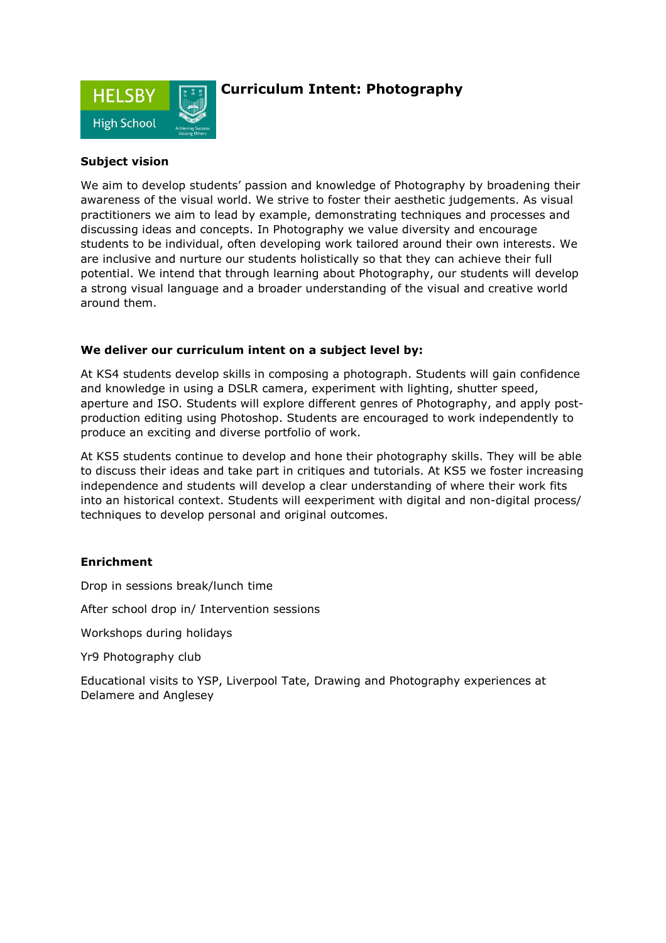

## **Curriculum Intent: Photography**

### **Subject vision**

We aim to develop students' passion and knowledge of Photography by broadening their awareness of the visual world. We strive to foster their aesthetic judgements. As visual practitioners we aim to lead by example, demonstrating techniques and processes and discussing ideas and concepts. In Photography we value diversity and encourage students to be individual, often developing work tailored around their own interests. We are inclusive and nurture our students holistically so that they can achieve their full potential. We intend that through learning about Photography, our students will develop a strong visual language and a broader understanding of the visual and creative world around them.

### **We deliver our curriculum intent on a subject level by:**

At KS4 students develop skills in composing a photograph. Students will gain confidence and knowledge in using a DSLR camera, experiment with lighting, shutter speed, aperture and ISO. Students will explore different genres of Photography, and apply postproduction editing using Photoshop. Students are encouraged to work independently to produce an exciting and diverse portfolio of work.

At KS5 students continue to develop and hone their photography skills. They will be able to discuss their ideas and take part in critiques and tutorials. At KS5 we foster increasing independence and students will develop a clear understanding of where their work fits into an historical context. Students will eexperiment with digital and non-digital process/ techniques to develop personal and original outcomes.

### **Enrichment**

Drop in sessions break/lunch time

After school drop in/ Intervention sessions

Workshops during holidays

Yr9 Photography club

Educational visits to YSP, Liverpool Tate, Drawing and Photography experiences at Delamere and Anglesey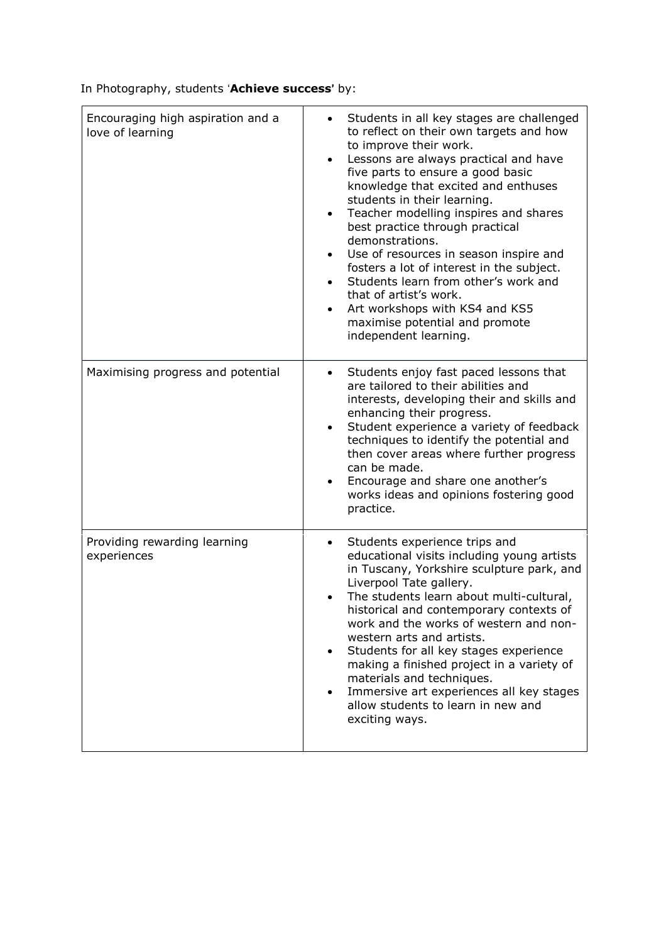In Photography, students '**Achieve success**' by:

| Encouraging high aspiration and a<br>love of learning | Students in all key stages are challenged<br>$\bullet$<br>to reflect on their own targets and how<br>to improve their work.<br>Lessons are always practical and have<br>$\bullet$<br>five parts to ensure a good basic<br>knowledge that excited and enthuses<br>students in their learning.<br>Teacher modelling inspires and shares<br>$\bullet$<br>best practice through practical<br>demonstrations.<br>Use of resources in season inspire and<br>$\bullet$<br>fosters a lot of interest in the subject.<br>Students learn from other's work and<br>$\bullet$<br>that of artist's work.<br>Art workshops with KS4 and KS5<br>maximise potential and promote<br>independent learning. |
|-------------------------------------------------------|------------------------------------------------------------------------------------------------------------------------------------------------------------------------------------------------------------------------------------------------------------------------------------------------------------------------------------------------------------------------------------------------------------------------------------------------------------------------------------------------------------------------------------------------------------------------------------------------------------------------------------------------------------------------------------------|
| Maximising progress and potential                     | Students enjoy fast paced lessons that<br>are tailored to their abilities and<br>interests, developing their and skills and<br>enhancing their progress.<br>Student experience a variety of feedback<br>$\bullet$<br>techniques to identify the potential and<br>then cover areas where further progress<br>can be made.<br>Encourage and share one another's<br>works ideas and opinions fostering good<br>practice.                                                                                                                                                                                                                                                                    |
| Providing rewarding learning<br>experiences           | Students experience trips and<br>$\bullet$<br>educational visits including young artists<br>in Tuscany, Yorkshire sculpture park, and<br>Liverpool Tate gallery.<br>The students learn about multi-cultural,<br>$\bullet$<br>historical and contemporary contexts of<br>work and the works of western and non-<br>western arts and artists.<br>Students for all key stages experience<br>$\bullet$<br>making a finished project in a variety of<br>materials and techniques.<br>Immersive art experiences all key stages<br>$\bullet$<br>allow students to learn in new and<br>exciting ways.                                                                                            |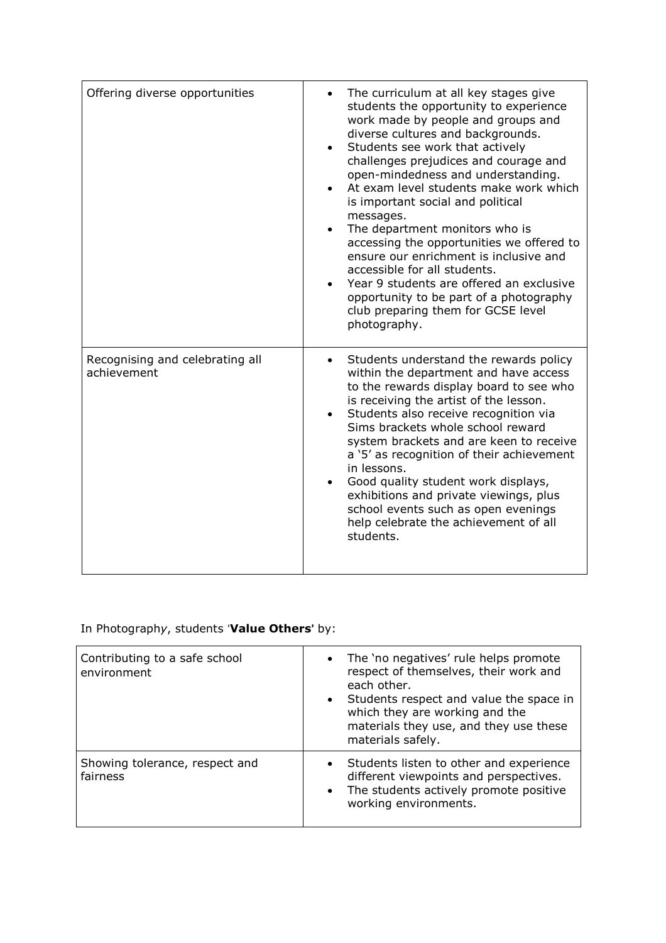| Offering diverse opportunities                 | The curriculum at all key stages give<br>students the opportunity to experience<br>work made by people and groups and<br>diverse cultures and backgrounds.<br>Students see work that actively<br>challenges prejudices and courage and<br>open-mindedness and understanding.<br>At exam level students make work which<br>is important social and political<br>messages.<br>The department monitors who is<br>accessing the opportunities we offered to<br>ensure our enrichment is inclusive and<br>accessible for all students.<br>Year 9 students are offered an exclusive<br>opportunity to be part of a photography<br>club preparing them for GCSE level<br>photography. |
|------------------------------------------------|--------------------------------------------------------------------------------------------------------------------------------------------------------------------------------------------------------------------------------------------------------------------------------------------------------------------------------------------------------------------------------------------------------------------------------------------------------------------------------------------------------------------------------------------------------------------------------------------------------------------------------------------------------------------------------|
| Recognising and celebrating all<br>achievement | Students understand the rewards policy<br>within the department and have access<br>to the rewards display board to see who<br>is receiving the artist of the lesson.<br>Students also receive recognition via<br>Sims brackets whole school reward<br>system brackets and are keen to receive<br>a '5' as recognition of their achievement<br>in lessons.<br>Good quality student work displays,<br>exhibitions and private viewings, plus<br>school events such as open evenings<br>help celebrate the achievement of all<br>students.                                                                                                                                        |

# In Photograph*y*, students '**Value Others**' by:

| Contributing to a safe school<br>environment | • The 'no negatives' rule helps promote<br>respect of themselves, their work and<br>each other.<br>• Students respect and value the space in<br>which they are working and the<br>materials they use, and they use these<br>materials safely. |
|----------------------------------------------|-----------------------------------------------------------------------------------------------------------------------------------------------------------------------------------------------------------------------------------------------|
| Showing tolerance, respect and<br>fairness   | Students listen to other and experience<br>$\bullet$<br>different viewpoints and perspectives.<br>The students actively promote positive<br>$\bullet$<br>working environments.                                                                |